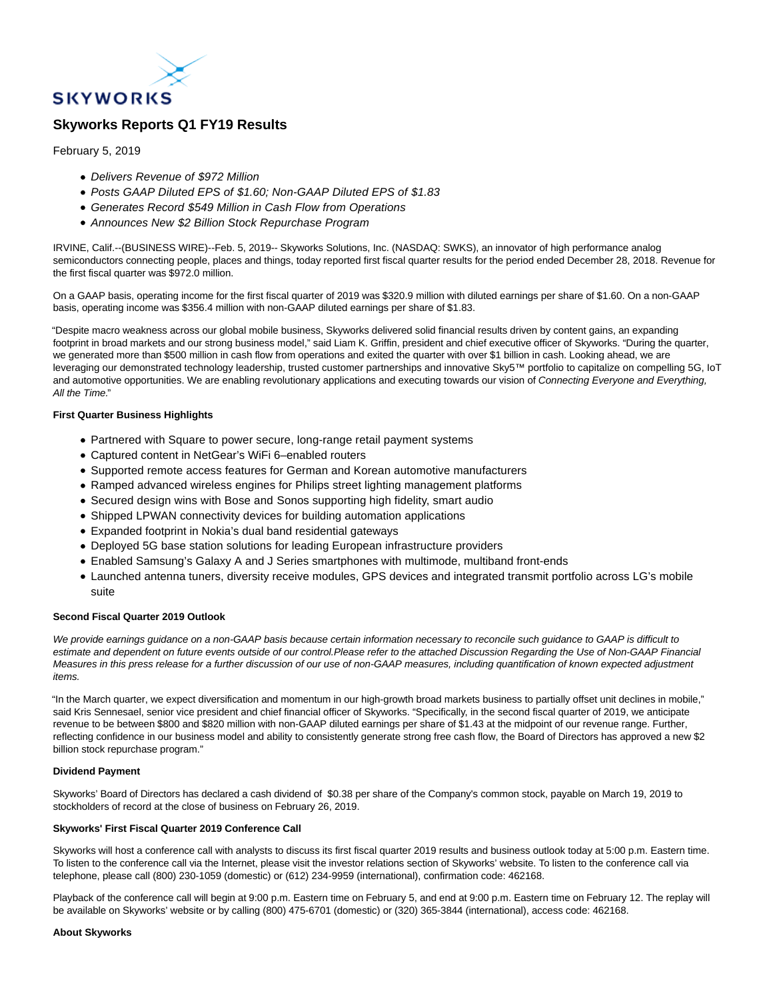

# **Skyworks Reports Q1 FY19 Results**

February 5, 2019

- Delivers Revenue of \$972 Million
- Posts GAAP Diluted EPS of \$1.60; Non-GAAP Diluted EPS of \$1.83
- Generates Record \$549 Million in Cash Flow from Operations
- Announces New \$2 Billion Stock Repurchase Program

IRVINE, Calif.--(BUSINESS WIRE)--Feb. 5, 2019-- Skyworks Solutions, Inc. (NASDAQ: SWKS), an innovator of high performance analog semiconductors connecting people, places and things, today reported first fiscal quarter results for the period ended December 28, 2018. Revenue for the first fiscal quarter was \$972.0 million.

On a GAAP basis, operating income for the first fiscal quarter of 2019 was \$320.9 million with diluted earnings per share of \$1.60. On a non-GAAP basis, operating income was \$356.4 million with non-GAAP diluted earnings per share of \$1.83.

"Despite macro weakness across our global mobile business, Skyworks delivered solid financial results driven by content gains, an expanding footprint in broad markets and our strong business model," said Liam K. Griffin, president and chief executive officer of Skyworks. "During the quarter, we generated more than \$500 million in cash flow from operations and exited the quarter with over \$1 billion in cash. Looking ahead, we are leveraging our demonstrated technology leadership, trusted customer partnerships and innovative Sky5™ portfolio to capitalize on compelling 5G, IoT and automotive opportunities. We are enabling revolutionary applications and executing towards our vision of Connecting Everyone and Everything, All the Time."

#### **First Quarter Business Highlights**

- Partnered with Square to power secure, long-range retail payment systems
- Captured content in NetGear's WiFi 6–enabled routers
- Supported remote access features for German and Korean automotive manufacturers
- Ramped advanced wireless engines for Philips street lighting management platforms
- Secured design wins with Bose and Sonos supporting high fidelity, smart audio
- Shipped LPWAN connectivity devices for building automation applications
- Expanded footprint in Nokia's dual band residential gateways
- Deployed 5G base station solutions for leading European infrastructure providers
- Enabled Samsung's Galaxy A and J Series smartphones with multimode, multiband front-ends
- Launched antenna tuners, diversity receive modules, GPS devices and integrated transmit portfolio across LG's mobile suite

#### **Second Fiscal Quarter 2019 Outlook**

We provide earnings guidance on a non-GAAP basis because certain information necessary to reconcile such guidance to GAAP is difficult to estimate and dependent on future events outside of our control.Please refer to the attached Discussion Regarding the Use of Non-GAAP Financial Measures in this press release for a further discussion of our use of non-GAAP measures, including quantification of known expected adjustment items.

"In the March quarter, we expect diversification and momentum in our high-growth broad markets business to partially offset unit declines in mobile," said Kris Sennesael, senior vice president and chief financial officer of Skyworks. "Specifically, in the second fiscal quarter of 2019, we anticipate revenue to be between \$800 and \$820 million with non-GAAP diluted earnings per share of \$1.43 at the midpoint of our revenue range. Further, reflecting confidence in our business model and ability to consistently generate strong free cash flow, the Board of Directors has approved a new \$2 billion stock repurchase program."

#### **Dividend Payment**

Skyworks' Board of Directors has declared a cash dividend of \$0.38 per share of the Company's common stock, payable on March 19, 2019 to stockholders of record at the close of business on February 26, 2019.

#### **Skyworks' First Fiscal Quarter 2019 Conference Call**

Skyworks will host a conference call with analysts to discuss its first fiscal quarter 2019 results and business outlook today at 5:00 p.m. Eastern time. To listen to the conference call via the Internet, please visit the investor relations section of Skyworks' website. To listen to the conference call via telephone, please call (800) 230-1059 (domestic) or (612) 234-9959 (international), confirmation code: 462168.

Playback of the conference call will begin at 9:00 p.m. Eastern time on February 5, and end at 9:00 p.m. Eastern time on February 12. The replay will be available on Skyworks' website or by calling (800) 475-6701 (domestic) or (320) 365-3844 (international), access code: 462168.

#### **About Skyworks**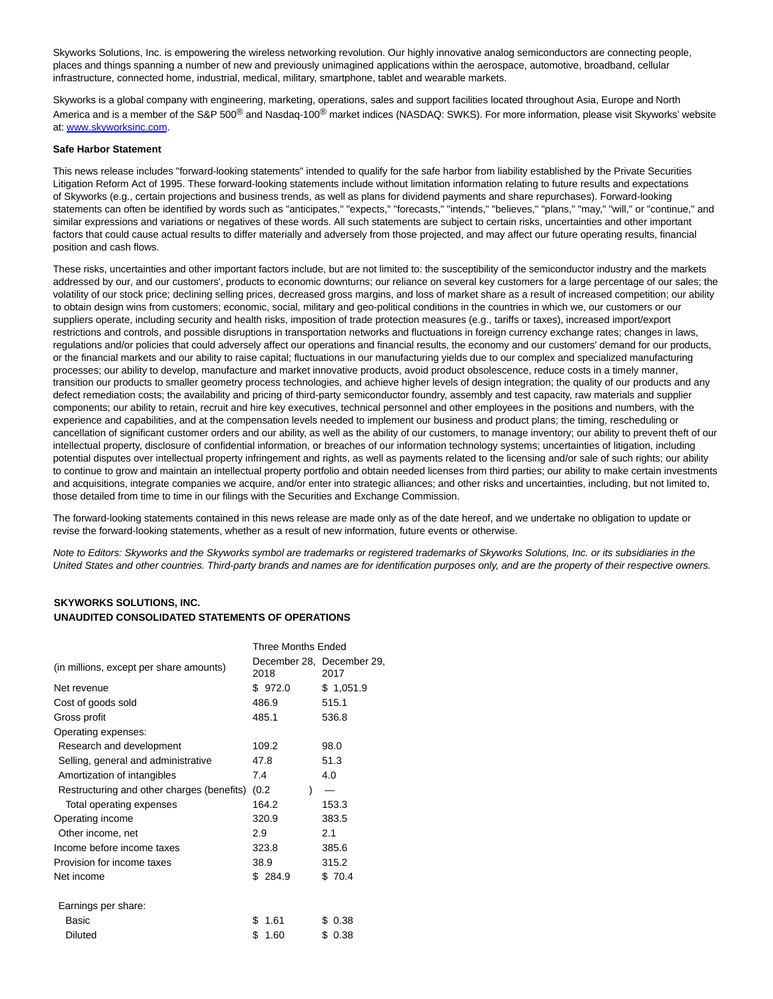Skyworks Solutions, Inc. is empowering the wireless networking revolution. Our highly innovative analog semiconductors are connecting people, places and things spanning a number of new and previously unimagined applications within the aerospace, automotive, broadband, cellular infrastructure, connected home, industrial, medical, military, smartphone, tablet and wearable markets.

Skyworks is a global company with engineering, marketing, operations, sales and support facilities located throughout Asia, Europe and North America and is a member of the S&P 500<sup>®</sup> and Nasdaq-100<sup>®</sup> market indices (NASDAQ: SWKS). For more information, please visit Skyworks' website at: [www.skyworksinc.com.](https://cts.businesswire.com/ct/CT?id=smartlink&url=http%3A%2F%2Fwww.skyworksinc.com&esheet=51936471&newsitemid=20190205005974&lan=en-US&anchor=www.skyworksinc.com&index=1&md5=89d96187117f1af90911fb5ba4f01af2)

#### **Safe Harbor Statement**

This news release includes "forward-looking statements" intended to qualify for the safe harbor from liability established by the Private Securities Litigation Reform Act of 1995. These forward-looking statements include without limitation information relating to future results and expectations of Skyworks (e.g., certain projections and business trends, as well as plans for dividend payments and share repurchases). Forward-looking statements can often be identified by words such as "anticipates," "expects," "forecasts," "intends," "believes," "plans," "may," "will," or "continue," and similar expressions and variations or negatives of these words. All such statements are subject to certain risks, uncertainties and other important factors that could cause actual results to differ materially and adversely from those projected, and may affect our future operating results, financial position and cash flows.

These risks, uncertainties and other important factors include, but are not limited to: the susceptibility of the semiconductor industry and the markets addressed by our, and our customers', products to economic downturns; our reliance on several key customers for a large percentage of our sales; the volatility of our stock price; declining selling prices, decreased gross margins, and loss of market share as a result of increased competition; our ability to obtain design wins from customers; economic, social, military and geo-political conditions in the countries in which we, our customers or our suppliers operate, including security and health risks, imposition of trade protection measures (e.g., tariffs or taxes), increased import/export restrictions and controls, and possible disruptions in transportation networks and fluctuations in foreign currency exchange rates; changes in laws, regulations and/or policies that could adversely affect our operations and financial results, the economy and our customers' demand for our products, or the financial markets and our ability to raise capital; fluctuations in our manufacturing yields due to our complex and specialized manufacturing processes; our ability to develop, manufacture and market innovative products, avoid product obsolescence, reduce costs in a timely manner, transition our products to smaller geometry process technologies, and achieve higher levels of design integration; the quality of our products and any defect remediation costs; the availability and pricing of third-party semiconductor foundry, assembly and test capacity, raw materials and supplier components; our ability to retain, recruit and hire key executives, technical personnel and other employees in the positions and numbers, with the experience and capabilities, and at the compensation levels needed to implement our business and product plans; the timing, rescheduling or cancellation of significant customer orders and our ability, as well as the ability of our customers, to manage inventory; our ability to prevent theft of our intellectual property, disclosure of confidential information, or breaches of our information technology systems; uncertainties of litigation, including potential disputes over intellectual property infringement and rights, as well as payments related to the licensing and/or sale of such rights; our ability to continue to grow and maintain an intellectual property portfolio and obtain needed licenses from third parties; our ability to make certain investments and acquisitions, integrate companies we acquire, and/or enter into strategic alliances; and other risks and uncertainties, including, but not limited to, those detailed from time to time in our filings with the Securities and Exchange Commission.

The forward-looking statements contained in this news release are made only as of the date hereof, and we undertake no obligation to update or revise the forward-looking statements, whether as a result of new information, future events or otherwise.

Note to Editors: Skyworks and the Skyworks symbol are trademarks or registered trademarks of Skyworks Solutions, Inc. or its subsidiaries in the United States and other countries. Third-party brands and names are for identification purposes only, and are the property of their respective owners.

## **SKYWORKS SOLUTIONS, INC. UNAUDITED CONSOLIDATED STATEMENTS OF OPERATIONS**

|                                            | <b>Three Months Ended</b>         |           |
|--------------------------------------------|-----------------------------------|-----------|
| (in millions, except per share amounts)    | December 28, December 29,<br>2018 | 2017      |
| Net revenue                                | \$972.0                           | \$1,051.9 |
| Cost of goods sold                         | 486.9                             | 515.1     |
| Gross profit                               | 485.1                             | 536.8     |
| Operating expenses:                        |                                   |           |
| Research and development                   | 109.2                             | 98.0      |
| Selling, general and administrative        | 47.8                              | 51.3      |
| Amortization of intangibles                | 7.4                               | 4.0       |
| Restructuring and other charges (benefits) | (0.2)<br>⟩                        |           |
| Total operating expenses                   | 164.2                             | 153.3     |
| Operating income                           | 320.9                             | 383.5     |
| Other income, net                          | 2.9                               | 2.1       |
| Income before income taxes                 | 323.8                             | 385.6     |
| Provision for income taxes                 | 38.9                              | 315.2     |
| Net income                                 | \$284.9                           | \$70.4    |
| Earnings per share:                        |                                   |           |
| Basic                                      | \$<br>1.61                        | \$ 0.38   |
| <b>Diluted</b>                             | 1.60                              | \$ 0.38   |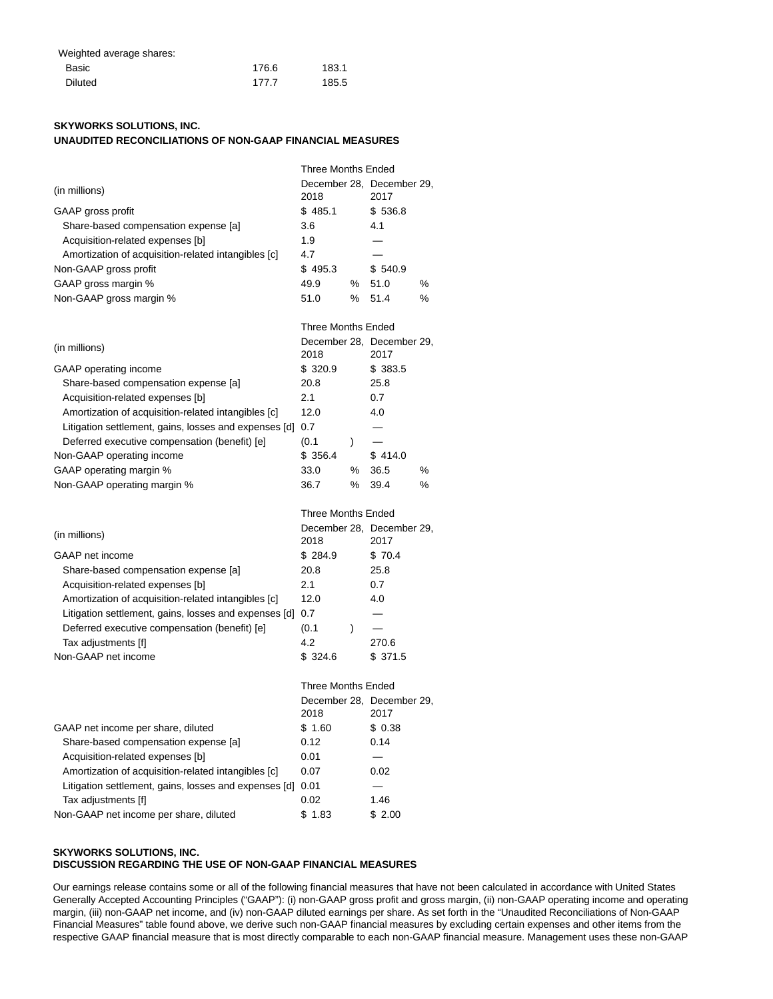| Weighted average shares: |       |       |
|--------------------------|-------|-------|
| Basic                    | 176.6 | 183.1 |
| Diluted                  | 177.7 | 185.5 |

## **SKYWORKS SOLUTIONS, INC. UNAUDITED RECONCILIATIONS OF NON-GAAP FINANCIAL MEASURES**

|                                                     | <b>Three Months Ended</b>                 |         |   |  |
|-----------------------------------------------------|-------------------------------------------|---------|---|--|
| (in millions)                                       | December 28, December 29,<br>2018<br>2017 |         |   |  |
| GAAP gross profit                                   | \$485.1                                   | \$536.8 |   |  |
| Share-based compensation expense [a]                | 3.6                                       | 4.1     |   |  |
| Acquisition-related expenses [b]                    | 1.9                                       |         |   |  |
| Amortization of acquisition-related intangibles [c] | 4.7                                       |         |   |  |
| Non-GAAP gross profit                               | \$495.3                                   | \$540.9 |   |  |
| GAAP gross margin %                                 | 49.9<br>%                                 | 51.0    | % |  |
| Non-GAAP gross margin %                             | 51.0<br>%                                 | 51.4    | ℅ |  |

|                                                       | Three Months Ended |   |                                   |   |
|-------------------------------------------------------|--------------------|---|-----------------------------------|---|
| (in millions)                                         | 2018               |   | December 28, December 29,<br>2017 |   |
| GAAP operating income                                 | \$320.9            |   | \$ 383.5                          |   |
| Share-based compensation expense [a]                  | 20.8               |   | 25.8                              |   |
| Acquisition-related expenses [b]                      | 2.1                |   | 0.7                               |   |
| Amortization of acquisition-related intangibles [c]   | 12.0               |   | 4.0                               |   |
| Litigation settlement, gains, losses and expenses [d] | 0.7                |   |                                   |   |
| Deferred executive compensation (benefit) [e]         | (0.1)              |   |                                   |   |
| Non-GAAP operating income                             | \$356.4            |   | \$414.0                           |   |
| GAAP operating margin %                               | 33.0               | % | 36.5                              | % |
| Non-GAAP operating margin %                           | 36.7               | ℅ | 39.4                              | ℅ |

|                                                       | Three Months Ended |                                   |  |
|-------------------------------------------------------|--------------------|-----------------------------------|--|
| (in millions)                                         | 2018               | December 28, December 29,<br>2017 |  |
| GAAP net income                                       | \$284.9            | \$70.4                            |  |
| Share-based compensation expense [a]                  | 20.8               | 25.8                              |  |
| Acquisition-related expenses [b]                      | 2.1                | 0.7                               |  |
| Amortization of acquisition-related intangibles [c]   | 12.0               | 4.0                               |  |
| Litigation settlement, gains, losses and expenses [d] | 0.7                |                                   |  |
| Deferred executive compensation (benefit) [e]         | (0.1)              |                                   |  |
| Tax adjustments [f]                                   | 4.2                | 270.6                             |  |
| Non-GAAP net income                                   | \$ 324.6           | \$ 371.5                          |  |

|                                                       | <b>Three Months Ended</b> |        |  |
|-------------------------------------------------------|---------------------------|--------|--|
|                                                       | December 28, December 29, |        |  |
|                                                       | 2018                      | 2017   |  |
| GAAP net income per share, diluted                    | \$1.60                    | \$0.38 |  |
| Share-based compensation expense [a]                  | 0.12                      | 0.14   |  |
| Acquisition-related expenses [b]                      | 0.01                      |        |  |
| Amortization of acquisition-related intangibles [c]   | 0.07                      | 0.02   |  |
| Litigation settlement, gains, losses and expenses [d] | 0.01                      |        |  |
| Tax adjustments [f]                                   | 0.02                      | 1.46   |  |
| Non-GAAP net income per share, diluted                | \$1.83                    | \$2.00 |  |
|                                                       |                           |        |  |

## **SKYWORKS SOLUTIONS, INC. DISCUSSION REGARDING THE USE OF NON-GAAP FINANCIAL MEASURES**

Our earnings release contains some or all of the following financial measures that have not been calculated in accordance with United States Generally Accepted Accounting Principles ("GAAP"): (i) non-GAAP gross profit and gross margin, (ii) non-GAAP operating income and operating margin, (iii) non-GAAP net income, and (iv) non-GAAP diluted earnings per share. As set forth in the "Unaudited Reconciliations of Non-GAAP Financial Measures" table found above, we derive such non-GAAP financial measures by excluding certain expenses and other items from the respective GAAP financial measure that is most directly comparable to each non-GAAP financial measure. Management uses these non-GAAP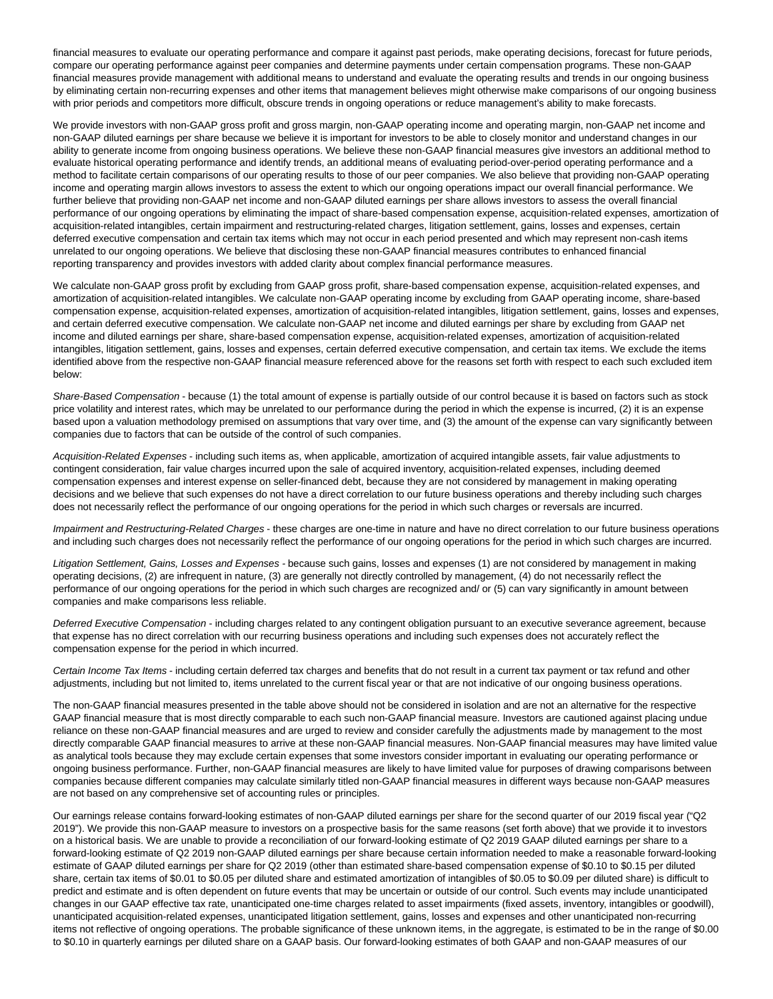financial measures to evaluate our operating performance and compare it against past periods, make operating decisions, forecast for future periods, compare our operating performance against peer companies and determine payments under certain compensation programs. These non-GAAP financial measures provide management with additional means to understand and evaluate the operating results and trends in our ongoing business by eliminating certain non-recurring expenses and other items that management believes might otherwise make comparisons of our ongoing business with prior periods and competitors more difficult, obscure trends in ongoing operations or reduce management's ability to make forecasts.

We provide investors with non-GAAP gross profit and gross margin, non-GAAP operating income and operating margin, non-GAAP net income and non-GAAP diluted earnings per share because we believe it is important for investors to be able to closely monitor and understand changes in our ability to generate income from ongoing business operations. We believe these non-GAAP financial measures give investors an additional method to evaluate historical operating performance and identify trends, an additional means of evaluating period-over-period operating performance and a method to facilitate certain comparisons of our operating results to those of our peer companies. We also believe that providing non-GAAP operating income and operating margin allows investors to assess the extent to which our ongoing operations impact our overall financial performance. We further believe that providing non-GAAP net income and non-GAAP diluted earnings per share allows investors to assess the overall financial performance of our ongoing operations by eliminating the impact of share-based compensation expense, acquisition-related expenses, amortization of acquisition-related intangibles, certain impairment and restructuring-related charges, litigation settlement, gains, losses and expenses, certain deferred executive compensation and certain tax items which may not occur in each period presented and which may represent non-cash items unrelated to our ongoing operations. We believe that disclosing these non-GAAP financial measures contributes to enhanced financial reporting transparency and provides investors with added clarity about complex financial performance measures.

We calculate non-GAAP gross profit by excluding from GAAP gross profit, share-based compensation expense, acquisition-related expenses, and amortization of acquisition-related intangibles. We calculate non-GAAP operating income by excluding from GAAP operating income, share-based compensation expense, acquisition-related expenses, amortization of acquisition-related intangibles, litigation settlement, gains, losses and expenses, and certain deferred executive compensation. We calculate non-GAAP net income and diluted earnings per share by excluding from GAAP net income and diluted earnings per share, share-based compensation expense, acquisition-related expenses, amortization of acquisition-related intangibles, litigation settlement, gains, losses and expenses, certain deferred executive compensation, and certain tax items. We exclude the items identified above from the respective non-GAAP financial measure referenced above for the reasons set forth with respect to each such excluded item below:

Share-Based Compensation - because (1) the total amount of expense is partially outside of our control because it is based on factors such as stock price volatility and interest rates, which may be unrelated to our performance during the period in which the expense is incurred, (2) it is an expense based upon a valuation methodology premised on assumptions that vary over time, and (3) the amount of the expense can vary significantly between companies due to factors that can be outside of the control of such companies.

Acquisition-Related Expenses - including such items as, when applicable, amortization of acquired intangible assets, fair value adjustments to contingent consideration, fair value charges incurred upon the sale of acquired inventory, acquisition-related expenses, including deemed compensation expenses and interest expense on seller-financed debt, because they are not considered by management in making operating decisions and we believe that such expenses do not have a direct correlation to our future business operations and thereby including such charges does not necessarily reflect the performance of our ongoing operations for the period in which such charges or reversals are incurred.

Impairment and Restructuring-Related Charges - these charges are one-time in nature and have no direct correlation to our future business operations and including such charges does not necessarily reflect the performance of our ongoing operations for the period in which such charges are incurred.

Litigation Settlement, Gains, Losses and Expenses - because such gains, losses and expenses (1) are not considered by management in making operating decisions, (2) are infrequent in nature, (3) are generally not directly controlled by management, (4) do not necessarily reflect the performance of our ongoing operations for the period in which such charges are recognized and/ or (5) can vary significantly in amount between companies and make comparisons less reliable.

Deferred Executive Compensation - including charges related to any contingent obligation pursuant to an executive severance agreement, because that expense has no direct correlation with our recurring business operations and including such expenses does not accurately reflect the compensation expense for the period in which incurred.

Certain Income Tax Items - including certain deferred tax charges and benefits that do not result in a current tax payment or tax refund and other adjustments, including but not limited to, items unrelated to the current fiscal year or that are not indicative of our ongoing business operations.

The non-GAAP financial measures presented in the table above should not be considered in isolation and are not an alternative for the respective GAAP financial measure that is most directly comparable to each such non-GAAP financial measure. Investors are cautioned against placing undue reliance on these non-GAAP financial measures and are urged to review and consider carefully the adjustments made by management to the most directly comparable GAAP financial measures to arrive at these non-GAAP financial measures. Non-GAAP financial measures may have limited value as analytical tools because they may exclude certain expenses that some investors consider important in evaluating our operating performance or ongoing business performance. Further, non-GAAP financial measures are likely to have limited value for purposes of drawing comparisons between companies because different companies may calculate similarly titled non-GAAP financial measures in different ways because non-GAAP measures are not based on any comprehensive set of accounting rules or principles.

Our earnings release contains forward-looking estimates of non-GAAP diluted earnings per share for the second quarter of our 2019 fiscal year ("Q2 2019"). We provide this non-GAAP measure to investors on a prospective basis for the same reasons (set forth above) that we provide it to investors on a historical basis. We are unable to provide a reconciliation of our forward-looking estimate of Q2 2019 GAAP diluted earnings per share to a forward-looking estimate of Q2 2019 non-GAAP diluted earnings per share because certain information needed to make a reasonable forward-looking estimate of GAAP diluted earnings per share for Q2 2019 (other than estimated share-based compensation expense of \$0.10 to \$0.15 per diluted share, certain tax items of \$0.01 to \$0.05 per diluted share and estimated amortization of intangibles of \$0.05 to \$0.09 per diluted share) is difficult to predict and estimate and is often dependent on future events that may be uncertain or outside of our control. Such events may include unanticipated changes in our GAAP effective tax rate, unanticipated one-time charges related to asset impairments (fixed assets, inventory, intangibles or goodwill), unanticipated acquisition-related expenses, unanticipated litigation settlement, gains, losses and expenses and other unanticipated non-recurring items not reflective of ongoing operations. The probable significance of these unknown items, in the aggregate, is estimated to be in the range of \$0.00 to \$0.10 in quarterly earnings per diluted share on a GAAP basis. Our forward-looking estimates of both GAAP and non-GAAP measures of our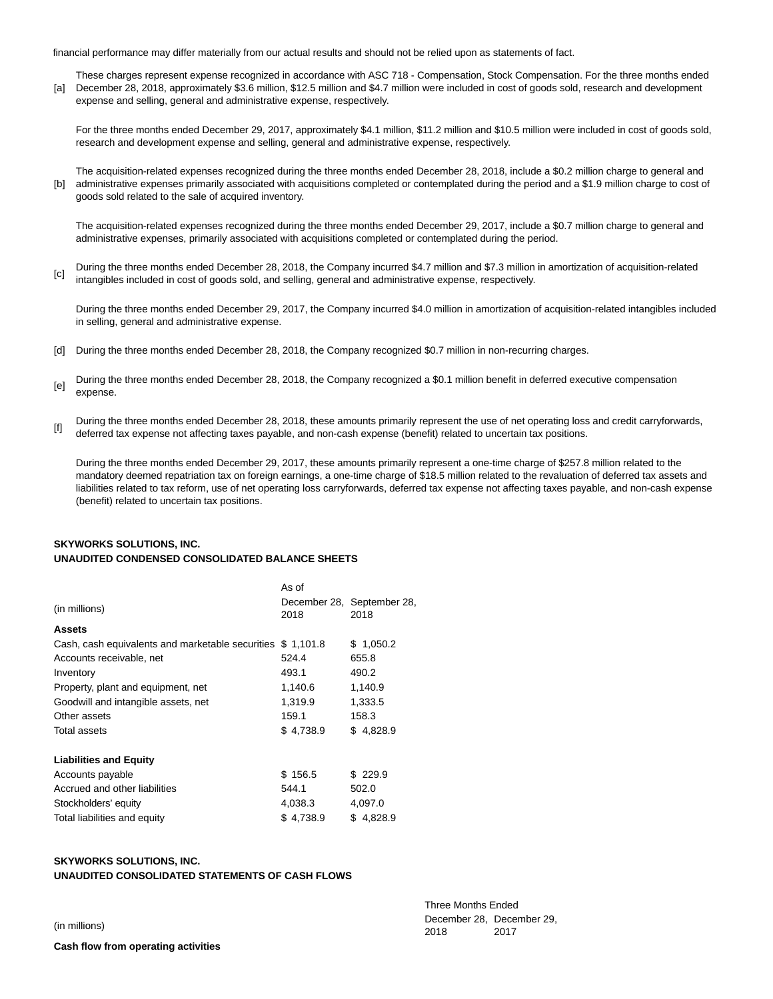financial performance may differ materially from our actual results and should not be relied upon as statements of fact.

[a] December 28, 2018, approximately \$3.6 million, \$12.5 million and \$4.7 million were included in cost of goods sold, research and development These charges represent expense recognized in accordance with ASC 718 - Compensation, Stock Compensation. For the three months ended expense and selling, general and administrative expense, respectively.

For the three months ended December 29, 2017, approximately \$4.1 million, \$11.2 million and \$10.5 million were included in cost of goods sold, research and development expense and selling, general and administrative expense, respectively.

[b] administrative expenses primarily associated with acquisitions completed or contemplated during the period and a \$1.9 million charge to cost of The acquisition-related expenses recognized during the three months ended December 28, 2018, include a \$0.2 million charge to general and goods sold related to the sale of acquired inventory.

The acquisition-related expenses recognized during the three months ended December 29, 2017, include a \$0.7 million charge to general and administrative expenses, primarily associated with acquisitions completed or contemplated during the period.

During the three months ended December 28, 2018, the Company incurred \$4.7 million and \$7.3 million in amortization of acquisition-related<br>
[c] interesting in a mortization of acquisition-related intangibles included in cost of goods sold, and selling, general and administrative expense, respectively.

During the three months ended December 29, 2017, the Company incurred \$4.0 million in amortization of acquisition-related intangibles included in selling, general and administrative expense.

- [d] During the three months ended December 28, 2018, the Company recognized \$0.7 million in non-recurring charges.
- [e] During the three months ended December 28, 2018, the Company recognized a \$0.1 million benefit in deferred executive compensation expense.
- [f] During the three months ended December 28, 2018, these amounts primarily represent the use of net operating loss and credit carryforwards, deferred tax expense not affecting taxes payable, and non-cash expense (benefit) related to uncertain tax positions.

During the three months ended December 29, 2017, these amounts primarily represent a one-time charge of \$257.8 million related to the mandatory deemed repatriation tax on foreign earnings, a one-time charge of \$18.5 million related to the revaluation of deferred tax assets and liabilities related to tax reform, use of net operating loss carryforwards, deferred tax expense not affecting taxes payable, and non-cash expense (benefit) related to uncertain tax positions.

## **SKYWORKS SOLUTIONS, INC. UNAUDITED CONDENSED CONSOLIDATED BALANCE SHEETS**

| As of                                                      |                                    |
|------------------------------------------------------------|------------------------------------|
| 2018                                                       | December 28, September 28,<br>2018 |
|                                                            |                                    |
| Cash, cash equivalents and marketable securities \$1,101.8 | \$1,050.2                          |
| 524.4                                                      | 655.8                              |
| 493.1                                                      | 490.2                              |
| 1,140.6                                                    | 1,140.9                            |
| 1,319.9                                                    | 1,333.5                            |
| 159.1                                                      | 158.3                              |
| \$4,738.9                                                  | \$4,828.9                          |
|                                                            |                                    |
| \$156.5                                                    | \$229.9                            |
| 544.1                                                      | 502.0                              |
| 4,038.3                                                    | 4,097.0                            |
| \$4,738.9                                                  | \$4,828.9                          |
|                                                            |                                    |

### **SKYWORKS SOLUTIONS, INC. UNAUDITED CONSOLIDATED STATEMENTS OF CASH FLOWS**

**Cash flow from operating activities**

Three Months Ended (in millions) December 28, 2018 December 28, December 29, 2017